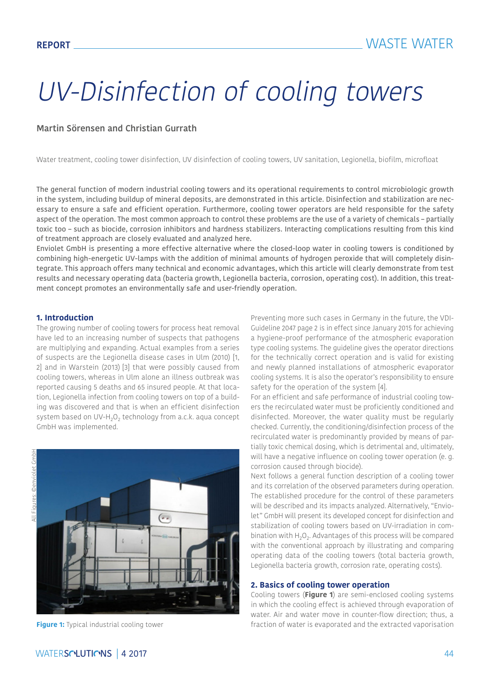# UV-Disinfection of cooling towers

#### **Martin Sörensen and Christian Gurrath**

Water treatment, cooling tower disinfection, UV disinfection of cooling towers, UV sanitation, Legionella, biofilm, microfloat

The general function of modern industrial cooling towers and its operational requirements to control microbiologic growth in the system, including buildup of mineral deposits, are demonstrated in this article. Disinfection and stabilization are necessary to ensure a safe and efficient operation. Furthermore, cooling tower operators are held responsible for the safety aspect of the operation. The most common approach to control these problems are the use of a variety of chemicals – partially toxic too – such as biocide, corrosion inhibitors and hardness stabilizers. Interacting complications resulting from this kind of treatment approach are closely evaluated and analyzed here.

Enviolet GmbH is presenting a more effective alternative where the closed-loop water in cooling towers is conditioned by combining high-energetic UV-lamps with the addition of minimal amounts of hydrogen peroxide that will completely disintegrate. This approach offers many technical and economic advantages, which this article will clearly demonstrate from test results and necessary operating data (bacteria growth, Legionella bacteria, corrosion, operating cost). In addition, this treatment concept promotes an environmentally safe and user-friendly operation.

#### **1. Introduction**

The growing number of cooling towers for process heat removal have led to an increasing number of suspects that pathogens are multiplying and expanding. Actual examples from a series of suspects are the Legionella disease cases in Ulm (2010) [1, 2] and in Warstein (2013) [3] that were possibly caused from cooling towers, whereas in Ulm alone an illness outbreak was reported causing 5 deaths and 65 insured people. At that location, Legionella infection from cooling towers on top of a building was discovered and that is when an efficient disinfection system based on UV-H<sub>2</sub>O<sub>2</sub> technology from a.c.k. aqua concept GmbH was implemented.



Preventing more such cases in Germany in the future, the VDI-Guideline 2047 page 2 is in effect since January 2015 for achieving a hygiene-proof performance of the atmospheric evaporation type cooling systems. The guideline gives the operator directions for the technically correct operation and is valid for existing and newly planned installations of atmospheric evaporator cooling systems. It is also the operator's responsibility to ensure safety for the operation of the system [4].

For an efficient and safe performance of industrial cooling towers the recirculated water must be proficiently conditioned and disinfected. Moreover, the water quality must be regularly checked. Currently, the conditioning/disinfection process of the recirculated water is predominantly provided by means of partially toxic chemical dosing, which is detrimental and, ultimately, will have a negative influence on cooling tower operation (e. g. corrosion caused through biocide).

Next follows a general function description of a cooling tower and its correlation of the observed parameters during operation. The established procedure for the control of these parameters will be described and its impacts analyzed. Alternatively, "Enviolet" GmbH will present its developed concept for disinfection and stabilization of cooling towers based on UV-irradiation in combination with  $H_2O_2$ . Advantages of this process will be compared with the conventional approach by illustrating and comparing operating data of the cooling towers (total bacteria growth, Legionella bacteria growth, corrosion rate, operating costs).

#### **2. Basics of cooling tower operation**

Cooling towers (**Figure 1**) are semi-enclosed cooling systems in which the cooling effect is achieved through evaporation of water. Air and water move in counter-flow direction; thus, a **Figure 1:** Typical industrial cooling tower fraction of water is evaporated and the extracted vaporisation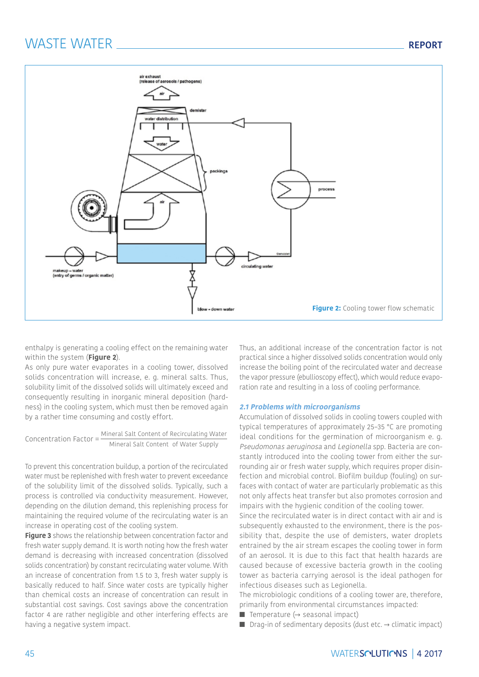

enthalpy is generating a cooling effect on the remaining water within the system (**Figure 2**).

As only pure water evaporates in a cooling tower, dissolved solids concentration will increase, e. g. mineral salts. Thus, solubility limit of the dissolved solids will ultimately exceed and consequently resulting in inorganic mineral deposition (hardness) in the cooling system, which must then be removed again by a rather time consuming and costly effort.

Concentration Factor = Mineral Salt Content of Recirculating Water Mineral Salt Content of Water Supply

To prevent this concentration buildup, a portion of the recirculated water must be replenished with fresh water to prevent exceedance of the solubility limit of the dissolved solids. Typically, such a process is controlled via conductivity measurement. However, depending on the dilution demand, this replenishing process for maintaining the required volume of the recirculating water is an increase in operating cost of the cooling system.

**Figure 3** shows the relationship between concentration factor and fresh water supply demand. It is worth noting how the fresh water demand is decreasing with increased concentration (dissolved solids concentration) by constant recirculating water volume. With an increase of concentration from 1.5 to 3, fresh water supply is basically reduced to half. Since water costs are typically higher than chemical costs an increase of concentration can result in substantial cost savings. Cost savings above the concentration factor 4 are rather negligible and other interfering effects are having a negative system impact.

Thus, an additional increase of the concentration factor is not practical since a higher dissolved solids concentration would only increase the boiling point of the recirculated water and decrease the vapor pressure (ebullioscopy effect), which would reduce evaporation rate and resulting in a loss of cooling performance.

#### **2.1 Problems with microorganisms**

Accumulation of dissolved solids in cooling towers coupled with typical temperatures of approximately 25–35 °C are promoting ideal conditions for the germination of microorganism e. g. Pseudomonas aeruginosa and Legionella spp. Bacteria are constantly introduced into the cooling tower from either the surrounding air or fresh water supply, which requires proper disinfection and microbial control. Biofilm buildup (fouling) on surfaces with contact of water are particularly problematic as this not only affects heat transfer but also promotes corrosion and impairs with the hygienic condition of the cooling tower.

Since the recirculated water is in direct contact with air and is subsequently exhausted to the environment, there is the possibility that, despite the use of demisters, water droplets entrained by the air stream escapes the cooling tower in form of an aerosol. It is due to this fact that health hazards are caused because of excessive bacteria growth in the cooling tower as bacteria carrying aerosol is the ideal pathogen for infectious diseases such as Legionella.

The microbiologic conditions of a cooling tower are, therefore, primarily from environmental circumstances impacted:

- Temperature  $\leftrightarrow$  seasonal impact)
- Drag-in of sedimentary deposits (dust etc.  $\rightarrow$  climatic impact)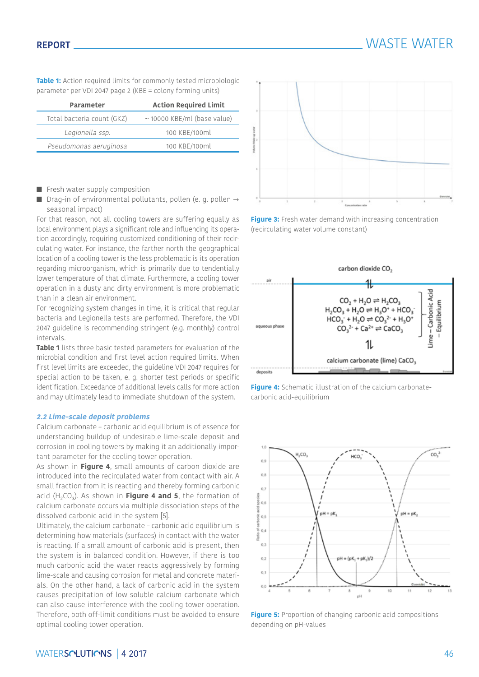**Table 1:** Action required limits for commonly tested microbiologic parameter per VDI 2047 page 2 (KBE = colony forming units)

| <b>Parameter</b>           | <b>Action Required Limit</b>     |  |
|----------------------------|----------------------------------|--|
| Total bacteria count (GKZ) | $\sim$ 10000 KBE/ml (base value) |  |
| Legionella ssp.            | 100 KBE/100ml                    |  |
| Pseudomonas aeruginosa     | 100 KBE/100ml                    |  |

- Fresh water supply composition
- Drag-in of environmental pollutants, pollen (e. g. pollen → seasonal impact)

For that reason, not all cooling towers are suffering equally as local environment plays a significant role and influencing its operation accordingly, requiring customized conditioning of their recirculating water. For instance, the farther north the geographical location of a cooling tower is the less problematic is its operation regarding microorganism, which is primarily due to tendentially lower temperature of that climate. Furthermore, a cooling tower operation in a dusty and dirty environment is more problematic than in a clean air environment.

For recognizing system changes in time, it is critical that regular bacteria and Legionella tests are performed. Therefore, the VDI 2047 guideline is recommending stringent (e.g. monthly) control intervals.

**Table 1** lists three basic tested parameters for evaluation of the microbial condition and first level action required limits. When first level limits are exceeded, the guideline VDI 2047 requires for special action to be taken, e. g. shorter test periods or specific identification. Exceedance of additional levels calls for more action and may ultimately lead to immediate shutdown of the system.

#### **2.2 Lime-scale deposit problems**

Calcium carbonate – carbonic acid equilibrium is of essence for understanding buildup of undesirable lime-scale deposit and corrosion in cooling towers by making it an additionally important parameter for the cooling tower operation.

As shown in **Figure 4**, small amounts of carbon dioxide are introduced into the recirculated water from contact with air. A small fraction from it is reacting and thereby forming carbonic acid  $(H_2CO_3)$ . As shown in **Figure 4 and 5**, the formation of calcium carbonate occurs via multiple dissociation steps of the dissolved carbonic acid in the system [5].

Ultimately, the calcium carbonate – carbonic acid equilibrium is determining how materials (surfaces) in contact with the water is reacting. If a small amount of carbonic acid is present, then the system is in balanced condition. However, if there is too much carbonic acid the water reacts aggressively by forming lime-scale and causing corrosion for metal and concrete materials. On the other hand, a lack of carbonic acid in the system causes precipitation of low soluble calcium carbonate which can also cause interference with the cooling tower operation. Therefore, both off-limit conditions must be avoided to ensure optimal cooling tower operation.



**Figure 3:** Fresh water demand with increasing concentration (recirculating water volume constant)







**Figure 5:** Proportion of changing carbonic acid compositions depending on pH-values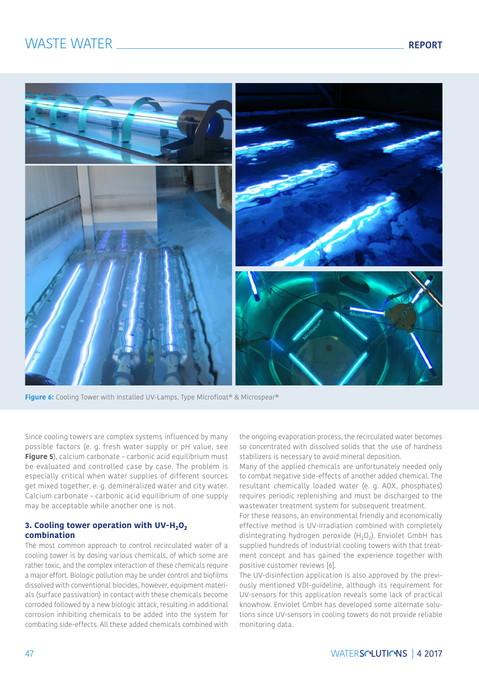# WASTE WATER  $\sqrt{R}$



**Figure 6:** Cooling Tower with Installed UV-Lamps, Type Microfloat® & Microspear®

Since cooling towers are complex systems influenced by many possible factors (e. g. fresh water supply or pH value, see **Figure 5**), calcium carbonate – carbonic acid equilibrium must be evaluated and controlled case by case. The problem is especially critical when water supplies of different sources get mixed together, e. g. demineralized water and city water. Calcium carbonate – carbonic acid equilibrium of one supply may be acceptable while another one is not.

#### **3. Cooling tower operation with UV-H<sub>2</sub>O<sub>2</sub> combination**

The most common approach to control recirculated water of a cooling tower is by dosing various chemicals, of which some are rather toxic, and the complex interaction of these chemicals require a major effort. Biologic pollution may be under control and biofilms dissolved with conventional biocides, however, equipment materials (surface passivation) in contact with these chemicals become corroded followed by a new biologic attack, resulting in additional corrosion inhibiting chemicals to be added into the system for combating side-effects. All these added chemicals combined with the ongoing evaporation process, the recirculated water becomes so concentrated with dissolved solids that the use of hardness stabilizers is necessary to avoid mineral deposition.

Many of the applied chemicals are unfortunately needed only to combat negative side-effects of another added chemical. The resultant chemically loaded water (e. g. AOX, phosphates) requires periodic replenishing and must be discharged to the wastewater treatment system for subsequent treatment.

For these reasons, an environmental friendly and economically effective method is UV-irradiation combined with completely disintegrating hydrogen peroxide  $(H_2O_2)$ . Enviolet GmbH has supplied hundreds of industrial cooling towers with that treatment concept and has gained the experience together with positive customer reviews [6].

The UV-disinfection application is also approved by the previously mentioned VDI-guideline, although its requirement for UV-sensors for this application reveals some lack of practical knowhow. Enviolet GmbH has developed some alternate solutions since UV-sensors in cooling towers do not provide reliable monitoring data.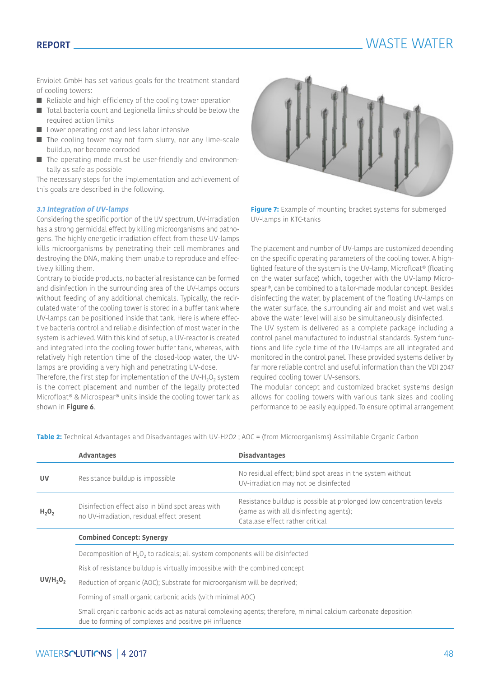# **REPORT** WASTE WATER

Enviolet GmbH has set various goals for the treatment standard of cooling towers:

- Reliable and high efficiency of the cooling tower operation
- Total bacteria count and Legionella limits should be below the required action limits
- Lower operating cost and less labor intensive
- The cooling tower may not form slurry, nor any lime-scale buildup, nor become corroded
- The operating mode must be user-friendly and environmentally as safe as possible

The necessary steps for the implementation and achievement of this goals are described in the following.

#### **3.1 Integration of UV-lamps**

Considering the specific portion of the UV spectrum, UV-irradiation has a strong germicidal effect by killing microorganisms and pathogens. The highly energetic irradiation effect from these UV-lamps kills microorganisms by penetrating their cell membranes and destroying the DNA, making them unable to reproduce and effectively killing them.

Contrary to biocide products, no bacterial resistance can be formed and disinfection in the surrounding area of the UV-lamps occurs without feeding of any additional chemicals. Typically, the recirculated water of the cooling tower is stored in a buffer tank where UV-lamps can be positioned inside that tank. Here is where effective bacteria control and reliable disinfection of most water in the system is achieved. With this kind of setup, a UV-reactor is created and integrated into the cooling tower buffer tank, whereas, with relatively high retention time of the closed-loop water, the UVlamps are providing a very high and penetrating UV-dose.

Therefore, the first step for implementation of the UV-H<sub>2</sub>O<sub>2</sub> system is the correct placement and number of the legally protected Microfloat® & Microspear® units inside the cooling tower tank as shown in **Figure 6**.



**Figure 7:** Example of mounting bracket systems for submerged UV-lamps in KTC-tanks

The placement and number of UV-lamps are customized depending on the specific operating parameters of the cooling tower. A highlighted feature of the system is the UV-lamp, Microfloat® (floating on the water surface) which, together with the UV-lamp Microspear®, can be combined to a tailor-made modular concept. Besides disinfecting the water, by placement of the floating UV-lamps on the water surface, the surrounding air and moist and wet walls above the water level will also be simultaneously disinfected.

The UV system is delivered as a complete package including a control panel manufactured to industrial standards. System functions and life cycle time of the UV-lamps are all integrated and monitored in the control panel. These provided systems deliver by far more reliable control and useful information than the VDI 2047 required cooling tower UV-sensors.

The modular concept and customized bracket systems design allows for cooling towers with various tank sizes and cooling performance to be easily equipped. To ensure optimal arrangement

**Table 2:** Technical Advantages and Disadvantages with UV-H2O2 ; AOC = (from Microorganisms) Assimilable Organic Carbon

|                                  | <b>Advantages</b>                                                                                                                                                       | <b>Disadvantages</b>                                                                                                                               |  |  |
|----------------------------------|-------------------------------------------------------------------------------------------------------------------------------------------------------------------------|----------------------------------------------------------------------------------------------------------------------------------------------------|--|--|
| <b>UV</b>                        | Resistance buildup is impossible                                                                                                                                        | No residual effect; blind spot areas in the system without<br>UV-irradiation may not be disinfected                                                |  |  |
| $H_2O_2$                         | Disinfection effect also in blind spot areas with<br>no UV-irradiation, residual effect present                                                                         | Resistance buildup is possible at prolonged low concentration levels<br>(same as with all disinfecting agents);<br>Catalase effect rather critical |  |  |
|                                  | <b>Combined Concept: Synergy</b>                                                                                                                                        |                                                                                                                                                    |  |  |
|                                  | Decomposition of $H_2O_2$ to radicals; all system components will be disinfected                                                                                        |                                                                                                                                                    |  |  |
|                                  | Risk of resistance buildup is virtually impossible with the combined concept                                                                                            |                                                                                                                                                    |  |  |
| UV/H <sub>2</sub> O <sub>2</sub> | Reduction of organic (AOC); Substrate for microorganism will be deprived;                                                                                               |                                                                                                                                                    |  |  |
|                                  | Forming of small organic carbonic acids (with minimal AOC)                                                                                                              |                                                                                                                                                    |  |  |
|                                  | Small organic carbonic acids act as natural complexing agents; therefore, minimal calcium carbonate deposition<br>due to forming of complexes and positive pH influence |                                                                                                                                                    |  |  |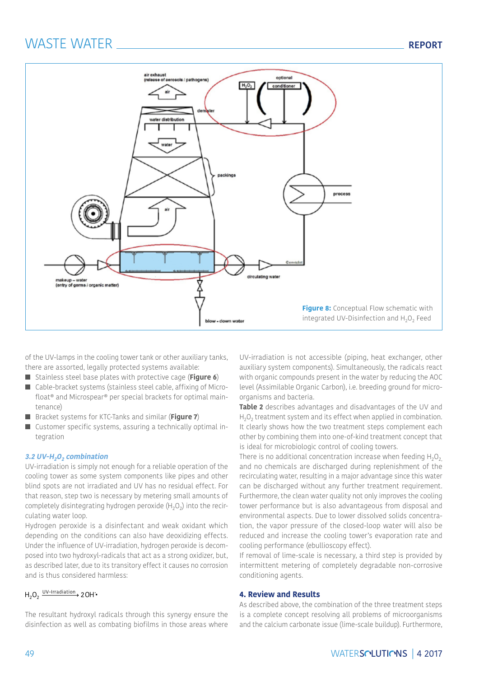# WASTE WATER **REPORT**



of the UV-lamps in the cooling tower tank or other auxiliary tanks, there are assorted, legally protected systems available:

- Stainless steel base plates with protective cage (**Figure 6**)
- Cable-bracket systems (stainless steel cable, affixing of Microfloat® and Microspear® per special brackets for optimal maintenance)
- Bracket systems for KTC-Tanks and similar (Figure 7)
- Customer specific systems, assuring a technically optimal integration

#### **3.2 UV-H2O2 combination**

UV-irradiation is simply not enough for a reliable operation of the cooling tower as some system components like pipes and other blind spots are not irradiated and UV has no residual effect. For that reason, step two is necessary by metering small amounts of completely disintegrating hydrogen peroxide  $(H_2O_2)$  into the recirculating water loop.

Hydrogen peroxide is a disinfectant and weak oxidant which depending on the conditions can also have deoxidizing effects. Under the influence of UV-irradiation, hydrogen peroxide is decomposed into two hydroxyl-radicals that act as a strong oxidizer, but, as described later, due to its transitory effect it causes no corrosion and is thus considered harmless:

### H<sub>2</sub>O<sub>2</sub> UV-Irradiation 2 OH •

The resultant hydroxyl radicals through this synergy ensure the disinfection as well as combating biofilms in those areas where

UV-irradiation is not accessible (piping, heat exchanger, other auxiliary system components). Simultaneously, the radicals react with organic compounds present in the water by reducing the AOC level (Assimilable Organic Carbon), i.e. breeding ground for microorganisms and bacteria.

**Table 2** describes advantages and disadvantages of the UV and  $H_2O_2$  treatment system and its effect when applied in combination. It clearly shows how the two treatment steps complement each other by combining them into one-of-kind treatment concept that is ideal for microbiologic control of cooling towers.

There is no additional concentration increase when feeding  $H_2O_2$ and no chemicals are discharged during replenishment of the recirculating water, resulting in a major advantage since this water can be discharged without any further treatment requirement. Furthermore, the clean water quality not only improves the cooling tower performance but is also advantageous from disposal and environmental aspects. Due to lower dissolved solids concentration, the vapor pressure of the closed-loop water will also be reduced and increase the cooling tower's evaporation rate and cooling performance (ebullioscopy effect).

If removal of lime-scale is necessary, a third step is provided by intermittent metering of completely degradable non-corrosive conditioning agents.

#### **4. Review and Results**

As described above, the combination of the three treatment steps is a complete concept resolving all problems of microorganisms and the calcium carbonate issue (lime-scale buildup). Furthermore,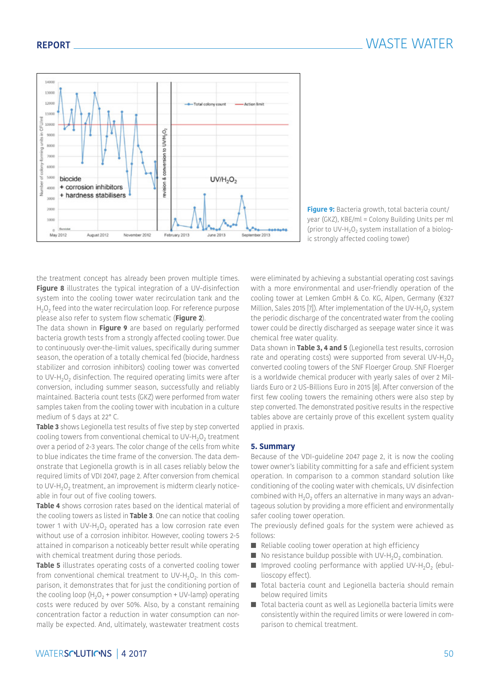

**Figure 9:** Bacteria growth, total bacteria count/ year (GKZ), KBE/ml = Colony Building Units per ml (prior to UV-H<sub>2</sub>O<sub>2</sub> system installation of a biologic strongly affected cooling tower)

the treatment concept has already been proven multiple times. **Figure 8** illustrates the typical integration of a UV-disinfection system into the cooling tower water recirculation tank and the  $H<sub>2</sub>O<sub>2</sub>$  feed into the water recirculation loop. For reference purpose please also refer to system flow schematic (**Figure 2**).

The data shown in **Figure 9** are based on regularly performed bacteria growth tests from a strongly affected cooling tower. Due to continuously over-the-limit values, specifically during summer season, the operation of a totally chemical fed (biocide, hardness stabilizer and corrosion inhibitors) cooling tower was converted to UV-H<sub>2</sub>O<sub>2</sub> disinfection. The required operating limits were after conversion, including summer season, successfully and reliably maintained. Bacteria count tests (GKZ) were performed from water samples taken from the cooling tower with incubation in a culture medium of 5 days at 22° C.

**Table 3** shows Legionella test results of five step by step converted cooling towers from conventional chemical to UV-H<sub>2</sub>O<sub>2</sub> treatment over a period of 2-3 years. The color change of the cells from white to blue indicates the time frame of the conversion. The data demonstrate that Legionella growth is in all cases reliably below the required limits of VDI 2047, page 2. After conversion from chemical to UV-H<sub>2</sub>O<sub>2</sub> treatment, an improvement is midterm clearly noticeable in four out of five cooling towers.

**Table 4** shows corrosion rates based on the identical material of the cooling towers as listed in **Table 3**. One can notice that cooling tower 1 with UV-H<sub>2</sub>O<sub>2</sub> operated has a low corrosion rate even without use of a corrosion inhibitor. However, cooling towers 2-5 attained in comparison a noticeably better result while operating with chemical treatment during those periods.

**Table 5** illustrates operating costs of a converted cooling tower from conventional chemical treatment to UV-H<sub>2</sub>O<sub>2</sub>. In this comparison, it demonstrates that for just the conditioning portion of the cooling loop  $(H_2O_2 + power$  consumption + UV-lamp) operating costs were reduced by over 50%. Also, by a constant remaining concentration factor a reduction in water consumption can normally be expected. And, ultimately, wastewater treatment costs were eliminated by achieving a substantial operating cost savings with a more environmental and user-friendly operation of the cooling tower at Lemken GmbH & Co. KG, Alpen, Germany (€327 Million, Sales 2015 [7]). After implementation of the UV-H<sub>2</sub>O<sub>2</sub> system the periodic discharge of the concentrated water from the cooling tower could be directly discharged as seepage water since it was chemical free water quality.

Data shown in **Table 3, 4 and 5** (Legionella test results, corrosion rate and operating costs) were supported from several UV-H<sub>2</sub>O<sub>2</sub> converted cooling towers of the SNF Floerger Group. SNF Floerger is a worldwide chemical producer with yearly sales of over 2 Milliards Euro or 2 US-Billions Euro in 2015 [8]. After conversion of the first few cooling towers the remaining others were also step by step converted. The demonstrated positive results in the respective tables above are certainly prove of this excellent system quality applied in praxis.

#### **5. Summary**

Because of the VDI-guideline 2047 page 2, it is now the cooling tower owner's liability committing for a safe and efficient system operation. In comparison to a common standard solution like conditioning of the cooling water with chemicals, UV disinfection combined with  $H_2O_2$  offers an alternative in many ways an advantageous solution by providing a more efficient and environmentally safer cooling tower operation.

The previously defined goals for the system were achieved as follows:

- Reliable cooling tower operation at high efficiency
- $\blacksquare$  No resistance buildup possible with UV-H<sub>2</sub>O<sub>2</sub> combination.
- $\blacksquare$  Improved cooling performance with applied UV-H<sub>2</sub>O<sub>2</sub> (ebullioscopy effect).
- Total bacteria count and Legionella bacteria should remain below required limits
- Total bacteria count as well as Legionella bacteria limits were consistently within the required limits or were lowered in comparison to chemical treatment.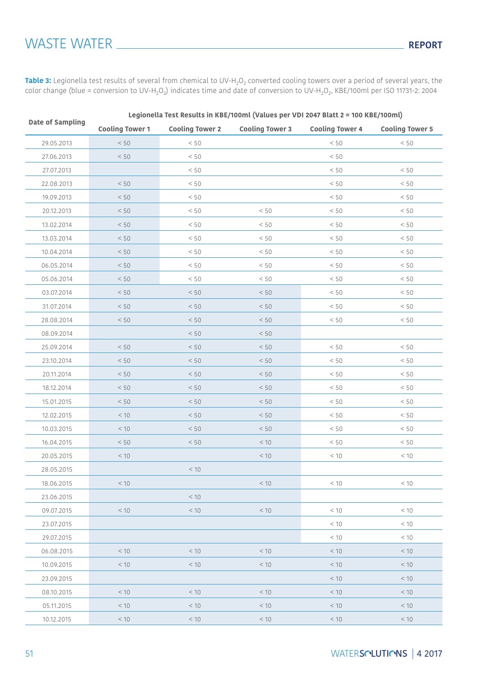**Table 3:** Legionella test results of several from chemical to UV-H<sub>2</sub>O<sub>2</sub> converted cooling towers over a period of several years, the color change (blue = conversion to UV-H<sub>2</sub>O<sub>2</sub>) indicates time and date of conversion to UV-H<sub>2</sub>O<sub>2</sub>, KBE/100ml per ISO 11731-2: 2004

|                  | Legionella Test Results in KBE/100ml (Values per VDI 2047 Blatt 2 = 100 KBE/100ml) |                        |                        |                        |                        |  |
|------------------|------------------------------------------------------------------------------------|------------------------|------------------------|------------------------|------------------------|--|
| Date of Sampling | <b>Cooling Tower 1</b>                                                             | <b>Cooling Tower 2</b> | <b>Cooling Tower 3</b> | <b>Cooling Tower 4</b> | <b>Cooling Tower 5</b> |  |
| 29.05.2013       | < 50                                                                               | $< 50$                 |                        | $< 50$                 | $< 50$                 |  |
| 27.06.2013       | < 50                                                                               | < 50                   |                        | < 50                   |                        |  |
| 27.07.2013       |                                                                                    | < 50                   |                        | < 50                   | < 50                   |  |
| 22.08.2013       | < 50                                                                               | $< 50$                 |                        | < 50                   | < 50                   |  |
| 19.09.2013       | $< 50$                                                                             | < 50                   |                        | < 50                   | < 50                   |  |
| 20.12.2013       | < 50                                                                               | < 50                   | < 50                   | < 50                   | < 50                   |  |
| 13.02.2014       | < 50                                                                               | < 50                   | < 50                   | $< 50$                 | < 50                   |  |
| 13.03.2014       | < 50                                                                               | < 50                   | < 50                   | < 50                   | < 50                   |  |
| 10.04.2014       | < 50                                                                               | < 50                   | < 50                   | < 50                   | < 50                   |  |
| 06.05.2014       | < 50                                                                               | < 50                   | < 50                   | < 50                   | < 50                   |  |
| 05.06.2014       | < 50                                                                               | < 50                   | < 50                   | < 50                   | < 50                   |  |
| 03.07.2014       | < 50                                                                               | $< 50$                 | < 50                   | < 50                   | < 50                   |  |
| 31.07.2014       | < 50                                                                               | < 50                   | < 50                   | < 50                   | < 50                   |  |
| 28.08.2014       | $< 50$                                                                             | < 50                   | < 50                   | $< 50$                 | < 50                   |  |
| 08.09.2014       |                                                                                    | < 50                   | < 50                   |                        |                        |  |
| 25.09.2014       | < 50                                                                               | < 50                   | < 50                   | < 50                   | < 50                   |  |
| 23.10.2014       | $< 50$                                                                             | $< 50$                 | $< 50$                 | $< 50$                 | < 50                   |  |
| 20.11.2014       | < 50                                                                               | < 50                   | < 50                   | < 50                   | < 50                   |  |
| 18.12.2014       | $< 50$                                                                             | $< 50$                 | $< 50$                 | $< 50$                 | < 50                   |  |
| 15.01.2015       | < 50                                                                               | < 50                   | < 50                   | < 50                   | < 50                   |  |
| 12.02.2015       | < 10                                                                               | < 50                   | < 50                   | < 50                   | < 50                   |  |
| 10.03.2015       | $<10$                                                                              | $< 50$                 | $< 50$                 | $< 50$                 | < 50                   |  |
| 16.04.2015       | $< 50$                                                                             | < 50                   | < 10                   | < 50                   | < 50                   |  |
| 20.05.2015       | $<10$                                                                              |                        | < 10                   | $<10$                  | < 10                   |  |
| 28.05.2015       |                                                                                    | < 10                   |                        |                        |                        |  |
| 18.06.2015       | < 10                                                                               |                        | < 10                   | < 10                   | < 10                   |  |
| 23.06.2015       |                                                                                    | < 10                   |                        |                        |                        |  |
| 09.07.2015       | < 10                                                                               | $<10$                  | < 10                   | < 10                   | < 10                   |  |
| 23.07.2015       |                                                                                    |                        |                        | < 10                   | < 10                   |  |
| 29.07.2015       |                                                                                    |                        |                        | < 10                   | < 10                   |  |
| 06.08.2015       | < 10                                                                               | < 10                   | < 10                   | < 10                   | < 10                   |  |
| 10.09.2015       | < 10                                                                               | < 10                   | < 10                   | < 10                   | < 10                   |  |
| 23.09.2015       |                                                                                    |                        |                        | $<10$                  | < 10                   |  |
| 08.10.2015       | < 10                                                                               | < 10                   | < 10                   | < 10                   | < 10                   |  |
| 05.11.2015       | < 10                                                                               | < 10                   | < 10                   | < 10                   | < 10                   |  |
| 10.12.2015       | < 10                                                                               | < 10                   | < 10                   | < 10                   | < 10                   |  |